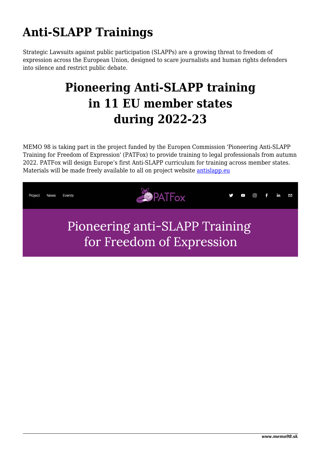## **Anti-SLAPP Trainings**

Strategic Lawsuits against public participation (SLAPPs) are a growing threat to freedom of expression across the European Union, designed to scare journalists and human rights defenders into silence and restrict public debate.

## **Pioneering Anti-SLAPP training in 11 EU member states during 2022-23**

MEMO 98 is taking part in the project funded by the Europen Commission 'Pioneering Anti-SLAPP Training for Freedom of Expression' (PATFox) to provide training to legal professionals from autumn 2022. PATFox will design Europe's first Anti-SLAPP curriculum for training across member states. Materials will be made freely available to all on project website [antislapp.eu](http://antislapp.eu/)